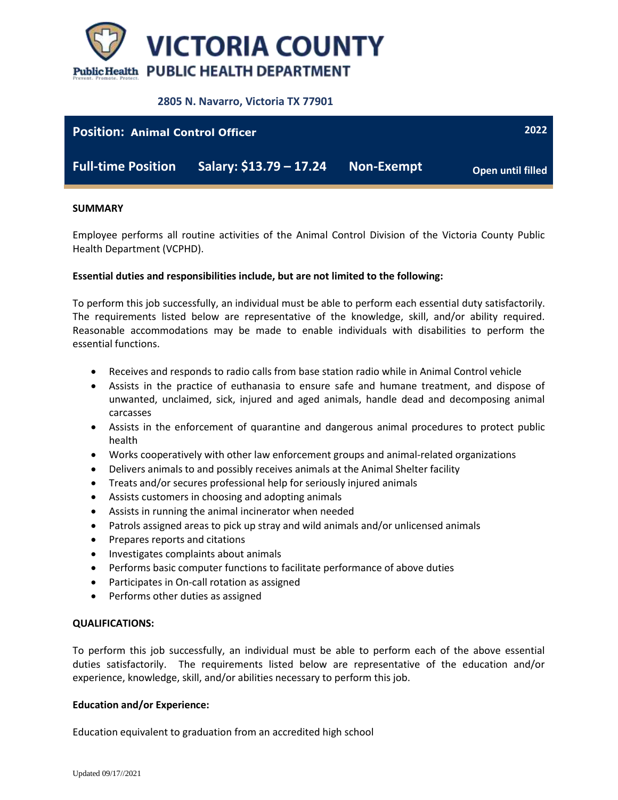

## **2805 N. Navarro, Victoria TX 77901**



#### **SUMMARY**

Employee performs all routine activities of the Animal Control Division of the Victoria County Public Health Department (VCPHD).

### **Essential duties and responsibilities include, but are not limited to the following:**

To perform this job successfully, an individual must be able to perform each essential duty satisfactorily. The requirements listed below are representative of the knowledge, skill, and/or ability required. Reasonable accommodations may be made to enable individuals with disabilities to perform the essential functions.

- Receives and responds to radio calls from base station radio while in Animal Control vehicle
- Assists in the practice of euthanasia to ensure safe and humane treatment, and dispose of unwanted, unclaimed, sick, injured and aged animals, handle dead and decomposing animal carcasses
- Assists in the enforcement of quarantine and dangerous animal procedures to protect public health
- Works cooperatively with other law enforcement groups and animal-related organizations
- Delivers animals to and possibly receives animals at the Animal Shelter facility
- Treats and/or secures professional help for seriously injured animals
- Assists customers in choosing and adopting animals
- Assists in running the animal incinerator when needed
- Patrols assigned areas to pick up stray and wild animals and/or unlicensed animals
- Prepares reports and citations
- Investigates complaints about animals
- Performs basic computer functions to facilitate performance of above duties
- Participates in On-call rotation as assigned
- Performs other duties as assigned

#### **QUALIFICATIONS:**

To perform this job successfully, an individual must be able to perform each of the above essential duties satisfactorily. The requirements listed below are representative of the education and/or experience, knowledge, skill, and/or abilities necessary to perform this job.

#### **Education and/or Experience:**

Education equivalent to graduation from an accredited high school